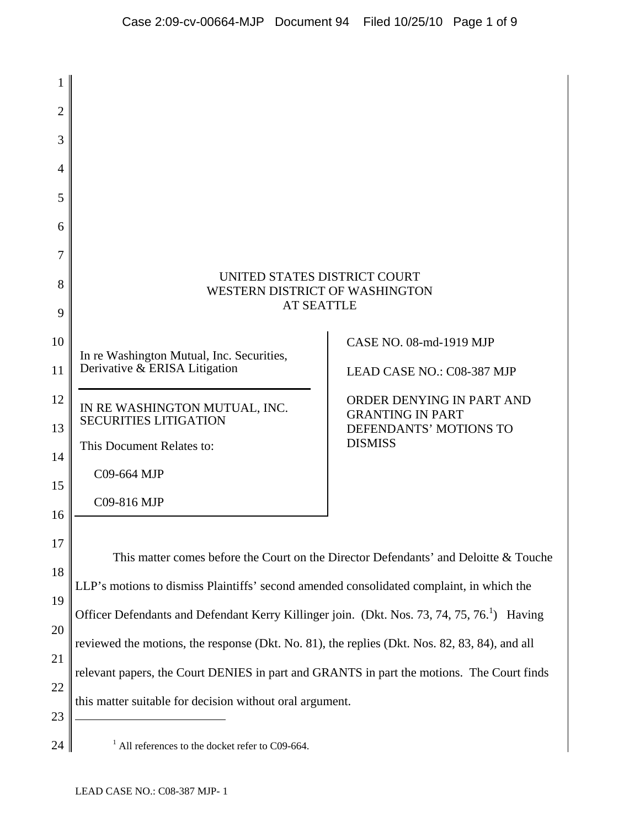| 1              |                                                                                                         |                                                                                                  |
|----------------|---------------------------------------------------------------------------------------------------------|--------------------------------------------------------------------------------------------------|
| 2              |                                                                                                         |                                                                                                  |
| 3              |                                                                                                         |                                                                                                  |
| $\overline{4}$ |                                                                                                         |                                                                                                  |
| 5              |                                                                                                         |                                                                                                  |
| 6              |                                                                                                         |                                                                                                  |
| 7              |                                                                                                         |                                                                                                  |
| 8<br>9         | UNITED STATES DISTRICT COURT<br>WESTERN DISTRICT OF WASHINGTON<br><b>AT SEATTLE</b>                     |                                                                                                  |
| 10<br>11       | In re Washington Mutual, Inc. Securities,<br>Derivative & ERISA Litigation                              | CASE NO. 08-md-1919 MJP<br>LEAD CASE NO.: C08-387 MJP                                            |
| 12<br>13<br>14 | IN RE WASHINGTON MUTUAL, INC.<br><b>SECURITIES LITIGATION</b><br>This Document Relates to:              | ORDER DENYING IN PART AND<br><b>GRANTING IN PART</b><br>DEFENDANTS' MOTIONS TO<br><b>DISMISS</b> |
| 15<br>16       | C09-664 MJP<br>C09-816 MJP                                                                              |                                                                                                  |
| 17             | This matter comes before the Court on the Director Defendants' and Deloitte & Touche                    |                                                                                                  |
| 18             | LLP's motions to dismiss Plaintiffs' second amended consolidated complaint, in which the                |                                                                                                  |
| 19             | Officer Defendants and Defendant Kerry Killinger join. (Dkt. Nos. 73, 74, 75, 76. <sup>1</sup> ) Having |                                                                                                  |
| 20             | reviewed the motions, the response (Dkt. No. 81), the replies (Dkt. Nos. 82, 83, 84), and all           |                                                                                                  |
| 21             | relevant papers, the Court DENIES in part and GRANTS in part the motions. The Court finds               |                                                                                                  |
| 22<br>23       | this matter suitable for decision without oral argument.                                                |                                                                                                  |
| 24             | $1$ All references to the docket refer to C09-664.                                                      |                                                                                                  |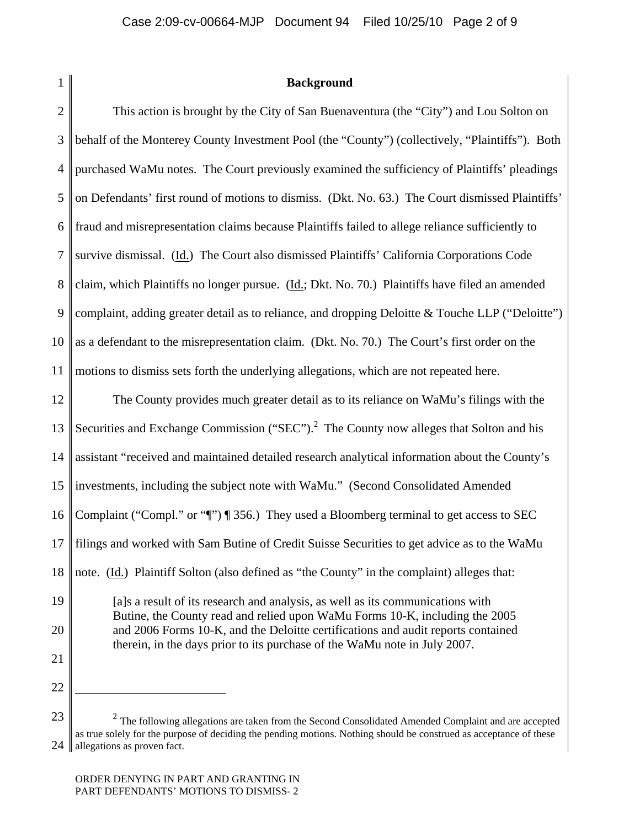1

### **Background**

 $\mathcal{D}_{\mathcal{L}}$ 3 4 5 6 7 8 9 10 11 12 13 14 15 16 17 18 19 20 21 This action is brought by the City of San Buenaventura (the "City") and Lou Solton on behalf of the Monterey County Investment Pool (the "County") (collectively, "Plaintiffs"). Both purchased WaMu notes. The Court previously examined the sufficiency of Plaintiffs' pleadings on Defendants' first round of motions to dismiss. (Dkt. No. 63.) The Court dismissed Plaintiffs' fraud and misrepresentation claims because Plaintiffs failed to allege reliance sufficiently to survive dismissal. (Id.) The Court also dismissed Plaintiffs' California Corporations Code claim, which Plaintiffs no longer pursue. (Id.; Dkt. No. 70.) Plaintiffs have filed an amended complaint, adding greater detail as to reliance, and dropping Deloitte & Touche LLP ("Deloitte") as a defendant to the misrepresentation claim. (Dkt. No. 70.) The Court's first order on the motions to dismiss sets forth the underlying allegations, which are not repeated here. The County provides much greater detail as to its reliance on WaMu's filings with the Securities and Exchange Commission ("SEC").<sup>2</sup> The County now alleges that Solton and his assistant "received and maintained detailed research analytical information about the County's investments, including the subject note with WaMu." (Second Consolidated Amended Complaint ("Compl." or "¶") ¶ 356.) They used a Bloomberg terminal to get access to SEC filings and worked with Sam Butine of Credit Suisse Securities to get advice as to the WaMu note. (Id.) Plaintiff Solton (also defined as "the County" in the complaint) alleges that: [a]s a result of its research and analysis, as well as its communications with Butine, the County read and relied upon WaMu Forms 10-K, including the 2005 and 2006 Forms 10-K, and the Deloitte certifications and audit reports contained therein, in the days prior to its purchase of the WaMu note in July 2007.

<u>.</u>

<sup>23</sup>

<sup>24</sup> II  $2$  The following allegations are taken from the Second Consolidated Amended Complaint and are accepted as true solely for the purpose of deciding the pending motions. Nothing should be construed as acceptance of these allegations as proven fact.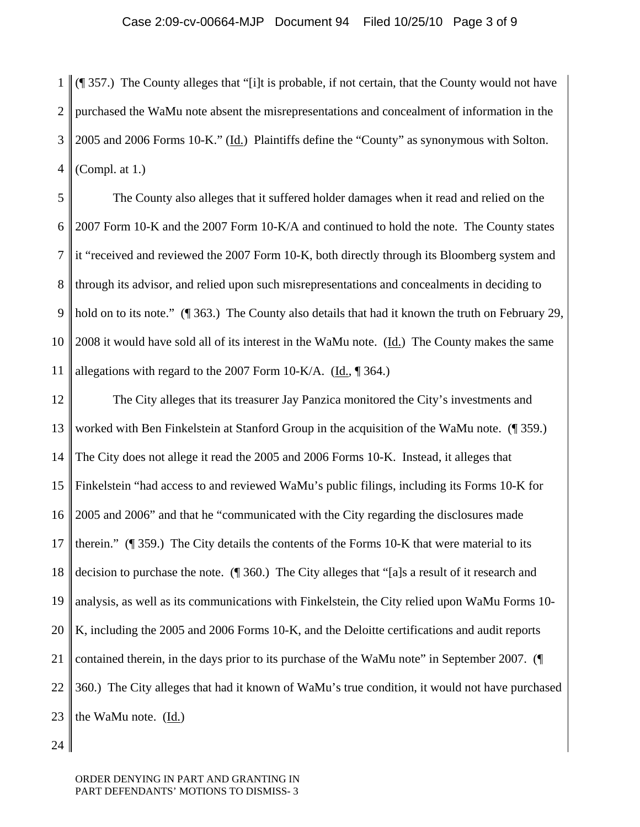1  $\mathcal{D}_{\mathcal{L}}$ 3 4 (¶ 357.) The County alleges that "[i]t is probable, if not certain, that the County would not have purchased the WaMu note absent the misrepresentations and concealment of information in the 2005 and 2006 Forms 10-K." (Id.) Plaintiffs define the "County" as synonymous with Solton. (Compl. at 1.)

5 6 7 8 9 10 11 The County also alleges that it suffered holder damages when it read and relied on the 2007 Form 10-K and the 2007 Form 10-K/A and continued to hold the note. The County states it "received and reviewed the 2007 Form 10-K, both directly through its Bloomberg system and through its advisor, and relied upon such misrepresentations and concealments in deciding to hold on to its note." ( $\parallel$  363.) The County also details that had it known the truth on February 29, 2008 it would have sold all of its interest in the WaMu note.  $(\underline{Id})$  The County makes the same allegations with regard to the 2007 Form 10-K/A.  $(\underline{Id}, \P 364.)$ 

12 13 14 15 16 17 18 19 20 21 22 23 The City alleges that its treasurer Jay Panzica monitored the City's investments and worked with Ben Finkelstein at Stanford Group in the acquisition of the WaMu note. (¶ 359.) The City does not allege it read the 2005 and 2006 Forms 10-K. Instead, it alleges that Finkelstein "had access to and reviewed WaMu's public filings, including its Forms 10-K for 2005 and 2006" and that he "communicated with the City regarding the disclosures made therein."  $(\P 359)$ . The City details the contents of the Forms 10-K that were material to its decision to purchase the note. (¶ 360.) The City alleges that "[a]s a result of it research and analysis, as well as its communications with Finkelstein, the City relied upon WaMu Forms 10- K, including the 2005 and 2006 Forms 10-K, and the Deloitte certifications and audit reports contained therein, in the days prior to its purchase of the WaMu note" in September 2007. (¶ 360.) The City alleges that had it known of WaMu's true condition, it would not have purchased the WaMu note. (Id.)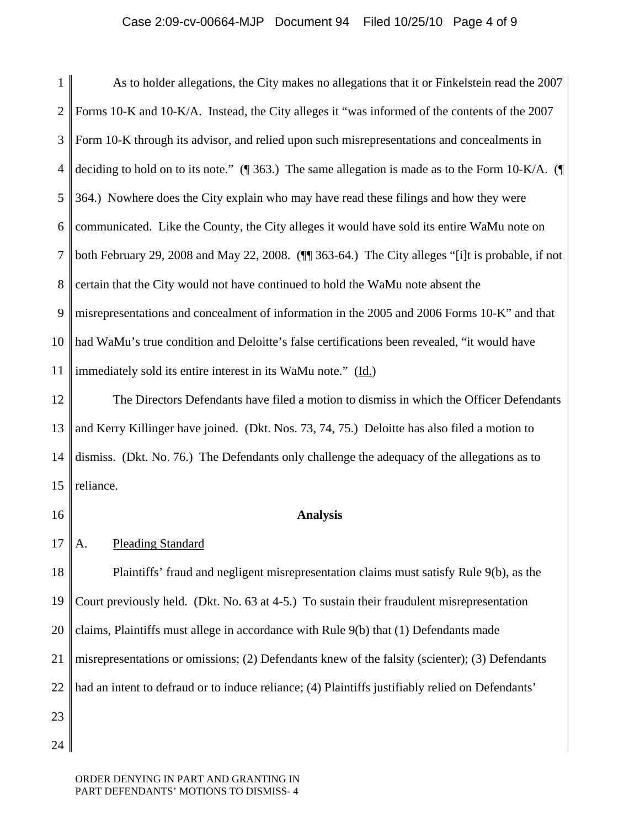#### Case 2:09-cv-00664-MJP Document 94 Filed 10/25/10 Page 4 of 9

1 2 3 4 5 6 7 8 9 10 11 As to holder allegations, the City makes no allegations that it or Finkelstein read the 2007 Forms 10-K and 10-K/A. Instead, the City alleges it "was informed of the contents of the 2007 Form 10-K through its advisor, and relied upon such misrepresentations and concealments in deciding to hold on to its note." (¶ 363.) The same allegation is made as to the Form 10-K/A. (¶ 364.) Nowhere does the City explain who may have read these filings and how they were communicated. Like the County, the City alleges it would have sold its entire WaMu note on both February 29, 2008 and May 22, 2008. (¶¶ 363-64.) The City alleges "[i]t is probable, if not certain that the City would not have continued to hold the WaMu note absent the misrepresentations and concealment of information in the 2005 and 2006 Forms 10-K" and that had WaMu's true condition and Deloitte's false certifications been revealed, "it would have immediately sold its entire interest in its WaMu note." (Id.)

12 13 14 15 The Directors Defendants have filed a motion to dismiss in which the Officer Defendants and Kerry Killinger have joined. (Dkt. Nos. 73, 74, 75.) Deloitte has also filed a motion to dismiss. (Dkt. No. 76.) The Defendants only challenge the adequacy of the allegations as to reliance.

16

#### **Analysis**

17 A. Pleading Standard

18 19 20 21 22 23 Plaintiffs' fraud and negligent misrepresentation claims must satisfy Rule 9(b), as the Court previously held. (Dkt. No. 63 at 4-5.) To sustain their fraudulent misrepresentation claims, Plaintiffs must allege in accordance with Rule 9(b) that (1) Defendants made misrepresentations or omissions; (2) Defendants knew of the falsity (scienter); (3) Defendants had an intent to defraud or to induce reliance; (4) Plaintiffs justifiably relied on Defendants'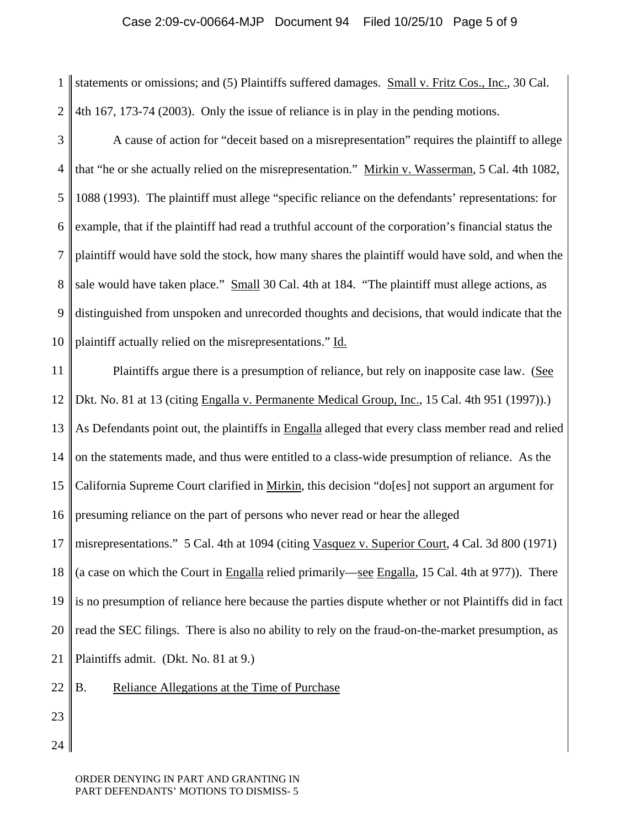# Case 2:09-cv-00664-MJP Document 94 Filed 10/25/10 Page 5 of 9

1  $\mathcal{D}_{\mathcal{L}}$ statements or omissions; and (5) Plaintiffs suffered damages. Small v. Fritz Cos., Inc., 30 Cal. 4th 167, 173-74 (2003). Only the issue of reliance is in play in the pending motions.

3 4 5 6 7 8 9 10 A cause of action for "deceit based on a misrepresentation" requires the plaintiff to allege that "he or she actually relied on the misrepresentation." Mirkin v. Wasserman, 5 Cal. 4th 1082, 1088 (1993). The plaintiff must allege "specific reliance on the defendants' representations: for example, that if the plaintiff had read a truthful account of the corporation's financial status the plaintiff would have sold the stock, how many shares the plaintiff would have sold, and when the sale would have taken place." Small 30 Cal. 4th at 184. "The plaintiff must allege actions, as distinguished from unspoken and unrecorded thoughts and decisions, that would indicate that the plaintiff actually relied on the misrepresentations." Id.

11 12 13 14 15 16 17 18 19 20 21 22 Plaintiffs argue there is a presumption of reliance, but rely on inapposite case law. (See Dkt. No. 81 at 13 (citing Engalla v. Permanente Medical Group, Inc., 15 Cal. 4th 951 (1997)).) As Defendants point out, the plaintiffs in Engalla alleged that every class member read and relied on the statements made, and thus were entitled to a class-wide presumption of reliance. As the California Supreme Court clarified in Mirkin, this decision "do[es] not support an argument for presuming reliance on the part of persons who never read or hear the alleged misrepresentations." 5 Cal. 4th at 1094 (citing Vasquez v. Superior Court, 4 Cal. 3d 800 (1971) (a case on which the Court in Engalla relied primarily—see Engalla, 15 Cal. 4th at 977)). There is no presumption of reliance here because the parties dispute whether or not Plaintiffs did in fact read the SEC filings. There is also no ability to rely on the fraud-on-the-market presumption, as Plaintiffs admit. (Dkt. No. 81 at 9.) B. Reliance Allegations at the Time of Purchase

23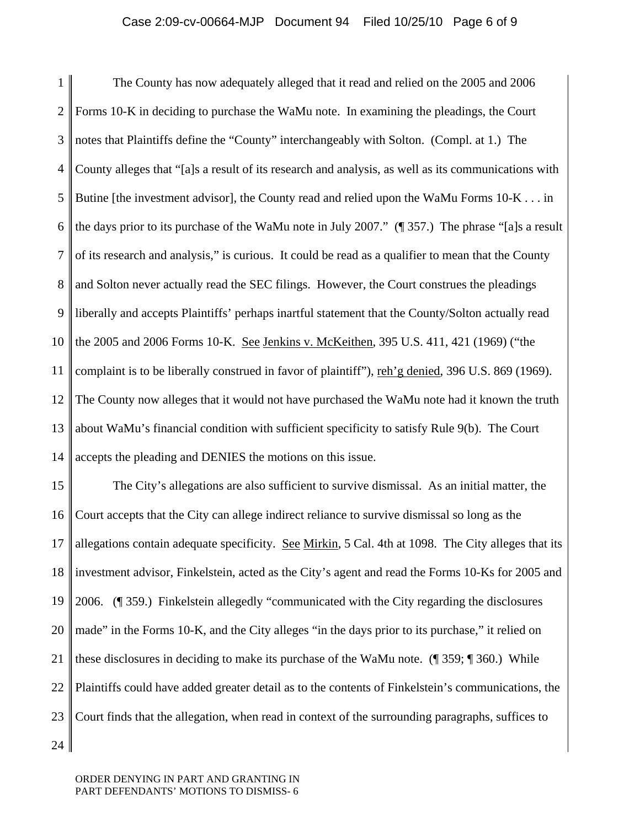### Case 2:09-cv-00664-MJP Document 94 Filed 10/25/10 Page 6 of 9

1 2 3 4 5 6 7 8 9 10 11 12 13 14 The County has now adequately alleged that it read and relied on the 2005 and 2006 Forms 10-K in deciding to purchase the WaMu note. In examining the pleadings, the Court notes that Plaintiffs define the "County" interchangeably with Solton. (Compl. at 1.) The County alleges that "[a]s a result of its research and analysis, as well as its communications with Butine [the investment advisor], the County read and relied upon the WaMu Forms 10-K . . . in the days prior to its purchase of the WaMu note in July 2007." (¶ 357.) The phrase "[a]s a result of its research and analysis," is curious. It could be read as a qualifier to mean that the County and Solton never actually read the SEC filings. However, the Court construes the pleadings liberally and accepts Plaintiffs' perhaps inartful statement that the County/Solton actually read the 2005 and 2006 Forms 10-K. See Jenkins v. McKeithen, 395 U.S. 411, 421 (1969) ("the complaint is to be liberally construed in favor of plaintiff"), reh'g denied, 396 U.S. 869 (1969). The County now alleges that it would not have purchased the WaMu note had it known the truth about WaMu's financial condition with sufficient specificity to satisfy Rule 9(b). The Court accepts the pleading and DENIES the motions on this issue.

15 16 17 18 19 20 21 22 23 24 The City's allegations are also sufficient to survive dismissal. As an initial matter, the Court accepts that the City can allege indirect reliance to survive dismissal so long as the allegations contain adequate specificity. See Mirkin, 5 Cal. 4th at 1098. The City alleges that its investment advisor, Finkelstein, acted as the City's agent and read the Forms 10-Ks for 2005 and 2006. (¶ 359.) Finkelstein allegedly "communicated with the City regarding the disclosures made" in the Forms 10-K, and the City alleges "in the days prior to its purchase," it relied on these disclosures in deciding to make its purchase of the WaMu note. (¶ 359; ¶ 360.) While Plaintiffs could have added greater detail as to the contents of Finkelstein's communications, the Court finds that the allegation, when read in context of the surrounding paragraphs, suffices to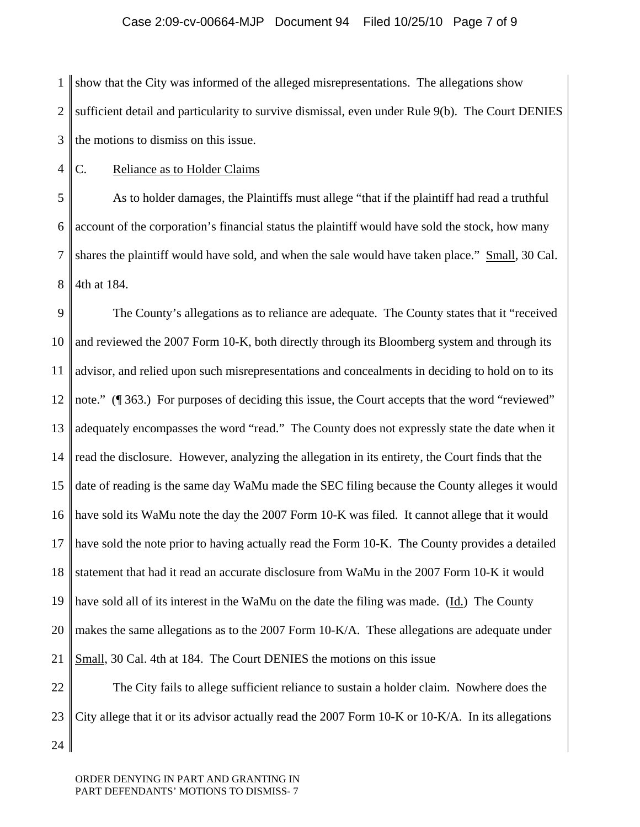# Case 2:09-cv-00664-MJP Document 94 Filed 10/25/10 Page 7 of 9

1  $\mathcal{D}_{\mathcal{L}}$ 3 show that the City was informed of the alleged misrepresentations. The allegations show sufficient detail and particularity to survive dismissal, even under Rule 9(b). The Court DENIES the motions to dismiss on this issue.

4 C. Reliance as to Holder Claims

5 6 7 8 As to holder damages, the Plaintiffs must allege "that if the plaintiff had read a truthful account of the corporation's financial status the plaintiff would have sold the stock, how many shares the plaintiff would have sold, and when the sale would have taken place." Small, 30 Cal. 4th at 184.

9 10 11 12 13 14 15 16 17 18 19 20 21 22 The County's allegations as to reliance are adequate. The County states that it "received and reviewed the 2007 Form 10-K, both directly through its Bloomberg system and through its advisor, and relied upon such misrepresentations and concealments in deciding to hold on to its note." (¶ 363.) For purposes of deciding this issue, the Court accepts that the word "reviewed" adequately encompasses the word "read." The County does not expressly state the date when it read the disclosure. However, analyzing the allegation in its entirety, the Court finds that the date of reading is the same day WaMu made the SEC filing because the County alleges it would have sold its WaMu note the day the 2007 Form 10-K was filed. It cannot allege that it would have sold the note prior to having actually read the Form 10-K. The County provides a detailed statement that had it read an accurate disclosure from WaMu in the 2007 Form 10-K it would have sold all of its interest in the WaMu on the date the filing was made.  $(\underline{Id})$  The County makes the same allegations as to the 2007 Form 10-K/A. These allegations are adequate under Small, 30 Cal. 4th at 184. The Court DENIES the motions on this issue The City fails to allege sufficient reliance to sustain a holder claim. Nowhere does the

23 24 City allege that it or its advisor actually read the 2007 Form 10-K or 10-K/A. In its allegations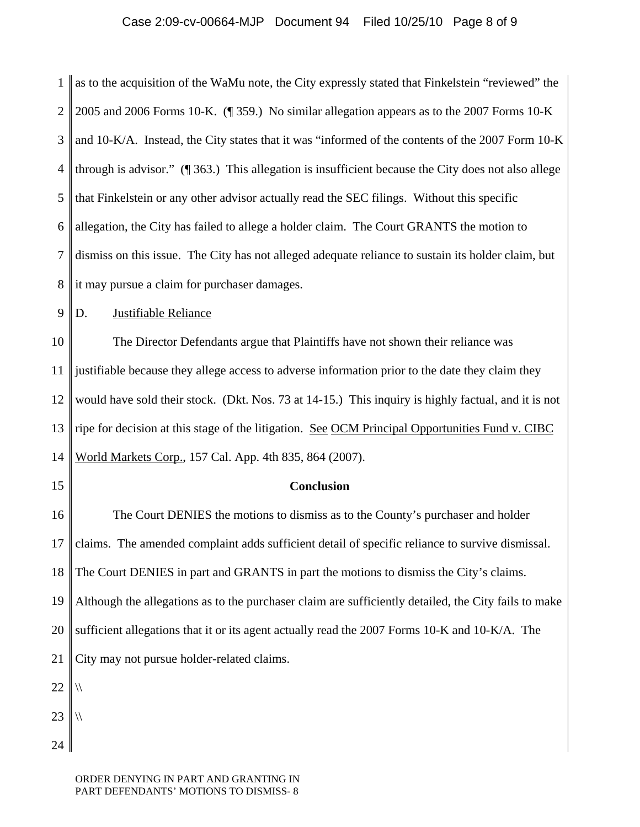# Case 2:09-cv-00664-MJP Document 94 Filed 10/25/10 Page 8 of 9

1  $\mathcal{D}_{\mathcal{L}}$ 3 4 5 6 7 8 as to the acquisition of the WaMu note, the City expressly stated that Finkelstein "reviewed" the 2005 and 2006 Forms 10-K. (¶ 359.) No similar allegation appears as to the 2007 Forms 10-K and 10-K/A. Instead, the City states that it was "informed of the contents of the 2007 Form 10-K through is advisor." (¶ 363.) This allegation is insufficient because the City does not also allege that Finkelstein or any other advisor actually read the SEC filings. Without this specific allegation, the City has failed to allege a holder claim. The Court GRANTS the motion to dismiss on this issue. The City has not alleged adequate reliance to sustain its holder claim, but it may pursue a claim for purchaser damages.

9 D. Justifiable Reliance

10 11 12 13 14 The Director Defendants argue that Plaintiffs have not shown their reliance was justifiable because they allege access to adverse information prior to the date they claim they would have sold their stock. (Dkt. Nos. 73 at 14-15.) This inquiry is highly factual, and it is not ripe for decision at this stage of the litigation. See OCM Principal Opportunities Fund v. CIBC World Markets Corp., 157 Cal. App. 4th 835, 864 (2007).

#### **Conclusion**

16 17 18 19 20 21 22 23 The Court DENIES the motions to dismiss as to the County's purchaser and holder claims. The amended complaint adds sufficient detail of specific reliance to survive dismissal. The Court DENIES in part and GRANTS in part the motions to dismiss the City's claims. Although the allegations as to the purchaser claim are sufficiently detailed, the City fails to make sufficient allegations that it or its agent actually read the 2007 Forms 10-K and 10-K/A. The City may not pursue holder-related claims.  $\sqrt{ }$  $\sqrt{ }$ 

24